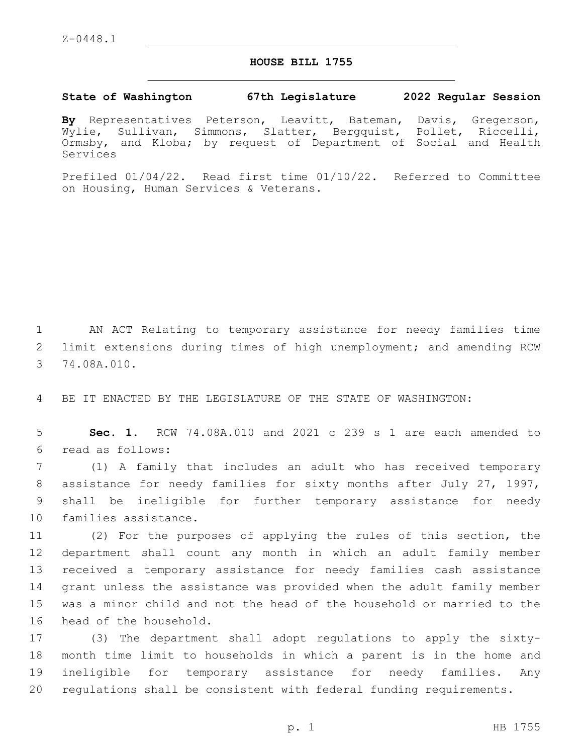## **HOUSE BILL 1755**

## **State of Washington 67th Legislature 2022 Regular Session**

**By** Representatives Peterson, Leavitt, Bateman, Davis, Gregerson, Wylie, Sullivan, Simmons, Slatter, Bergquist, Pollet, Riccelli, Ormsby, and Kloba; by request of Department of Social and Health Services

Prefiled 01/04/22. Read first time 01/10/22. Referred to Committee on Housing, Human Services & Veterans.

1 AN ACT Relating to temporary assistance for needy families time 2 limit extensions during times of high unemployment; and amending RCW 3 74.08A.010.

4 BE IT ENACTED BY THE LEGISLATURE OF THE STATE OF WASHINGTON:

5 **Sec. 1.** RCW 74.08A.010 and 2021 c 239 s 1 are each amended to read as follows:6

 (1) A family that includes an adult who has received temporary assistance for needy families for sixty months after July 27, 1997, shall be ineligible for further temporary assistance for needy 10 families assistance.

 (2) For the purposes of applying the rules of this section, the department shall count any month in which an adult family member received a temporary assistance for needy families cash assistance grant unless the assistance was provided when the adult family member was a minor child and not the head of the household or married to the 16 head of the household.

 (3) The department shall adopt regulations to apply the sixty- month time limit to households in which a parent is in the home and ineligible for temporary assistance for needy families. Any regulations shall be consistent with federal funding requirements.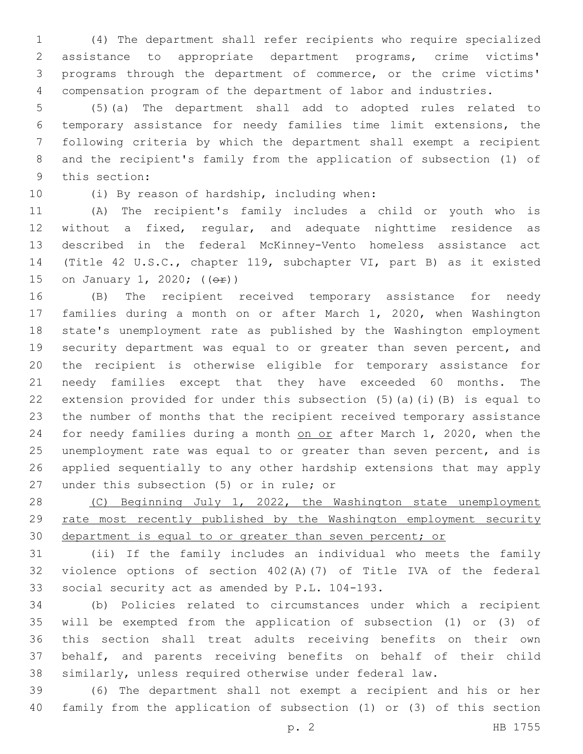(4) The department shall refer recipients who require specialized assistance to appropriate department programs, crime victims' programs through the department of commerce, or the crime victims' compensation program of the department of labor and industries.

 (5)(a) The department shall add to adopted rules related to temporary assistance for needy families time limit extensions, the following criteria by which the department shall exempt a recipient and the recipient's family from the application of subsection (1) of 9 this section:

10 (i) By reason of hardship, including when:

 (A) The recipient's family includes a child or youth who is without a fixed, regular, and adequate nighttime residence as described in the federal McKinney-Vento homeless assistance act (Title 42 U.S.C., chapter 119, subchapter VI, part B) as it existed 15 on January 1, 2020; (( $\Theta$ r))

 (B) The recipient received temporary assistance for needy families during a month on or after March 1, 2020, when Washington state's unemployment rate as published by the Washington employment security department was equal to or greater than seven percent, and the recipient is otherwise eligible for temporary assistance for needy families except that they have exceeded 60 months. The extension provided for under this subsection (5)(a)(i)(B) is equal to the number of months that the recipient received temporary assistance 24 for needy families during a month on or after March 1, 2020, when the unemployment rate was equal to or greater than seven percent, and is applied sequentially to any other hardship extensions that may apply 27 under this subsection (5) or in rule; or

28 (C) Beginning July 1, 2022, the Washington state unemployment rate most recently published by the Washington employment security department is equal to or greater than seven percent; or

 (ii) If the family includes an individual who meets the family violence options of section 402(A)(7) of Title IVA of the federal 33 social security act as amended by P.L. 104-193.

 (b) Policies related to circumstances under which a recipient will be exempted from the application of subsection (1) or (3) of this section shall treat adults receiving benefits on their own behalf, and parents receiving benefits on behalf of their child similarly, unless required otherwise under federal law.

 (6) The department shall not exempt a recipient and his or her family from the application of subsection (1) or (3) of this section